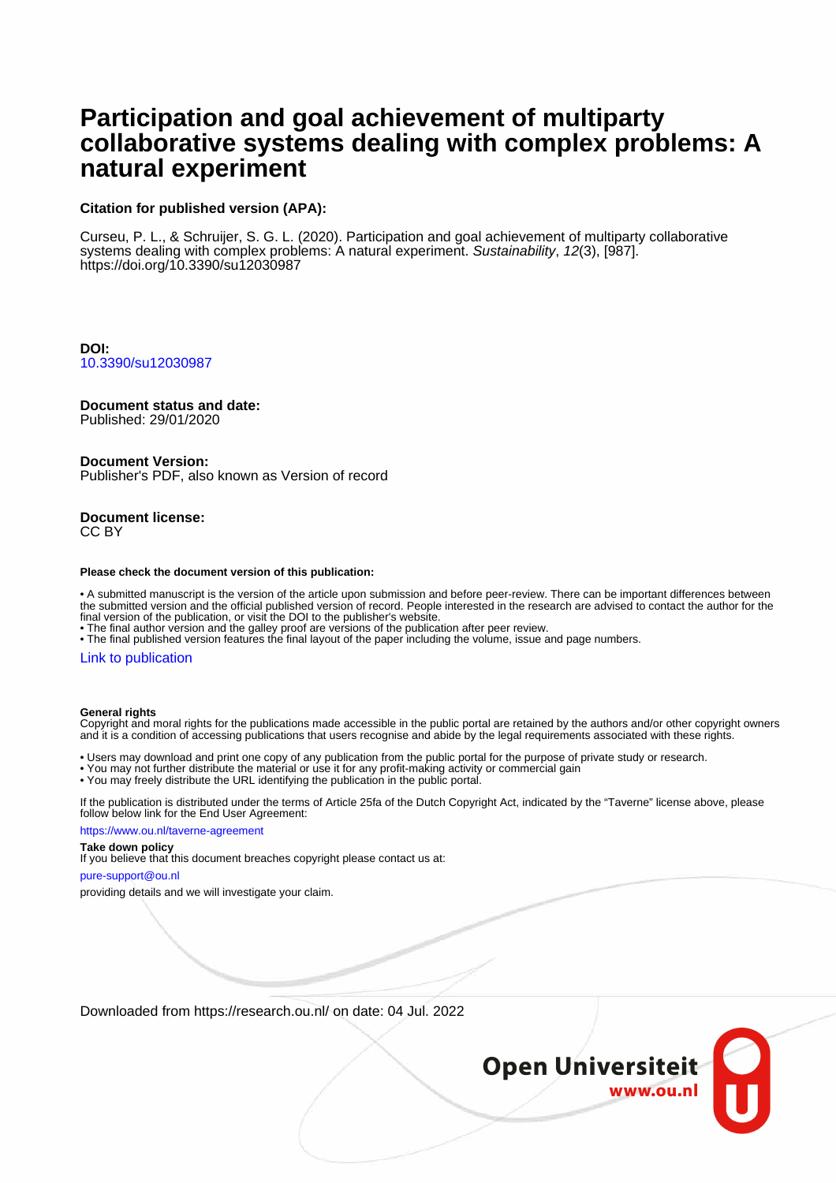## **Participation and goal achievement of multiparty collaborative systems dealing with complex problems: A natural experiment**

## **Citation for published version (APA):**

Curseu, P. L., & Schruijer, S. G. L. (2020). Participation and goal achievement of multiparty collaborative systems dealing with complex problems: A natural experiment. Sustainability, 12(3), [987]. <https://doi.org/10.3390/su12030987>

**DOI:** [10.3390/su12030987](https://doi.org/10.3390/su12030987)

## **Document status and date:**

Published: 29/01/2020

#### **Document Version:**

Publisher's PDF, also known as Version of record

## **Document license:**

CC BY

#### **Please check the document version of this publication:**

• A submitted manuscript is the version of the article upon submission and before peer-review. There can be important differences between the submitted version and the official published version of record. People interested in the research are advised to contact the author for the final version of the publication, or visit the DOI to the publisher's website.

• The final author version and the galley proof are versions of the publication after peer review.

• The final published version features the final layout of the paper including the volume, issue and page numbers.

#### [Link to publication](https://research.ou.nl/en/publications/9716439e-e48e-4110-bb20-b31295cad83c)

#### **General rights**

Copyright and moral rights for the publications made accessible in the public portal are retained by the authors and/or other copyright owners and it is a condition of accessing publications that users recognise and abide by the legal requirements associated with these rights.

• Users may download and print one copy of any publication from the public portal for the purpose of private study or research.

- You may not further distribute the material or use it for any profit-making activity or commercial gain
- You may freely distribute the URL identifying the publication in the public portal.

If the publication is distributed under the terms of Article 25fa of the Dutch Copyright Act, indicated by the "Taverne" license above, please follow below link for the End User Agreement:

#### https://www.ou.nl/taverne-agreement

#### **Take down policy**

If you believe that this document breaches copyright please contact us at:

## pure-support@ou.nl

providing details and we will investigate your claim.

Downloaded from https://research.ou.nl/ on date: 04 Jul. 2022

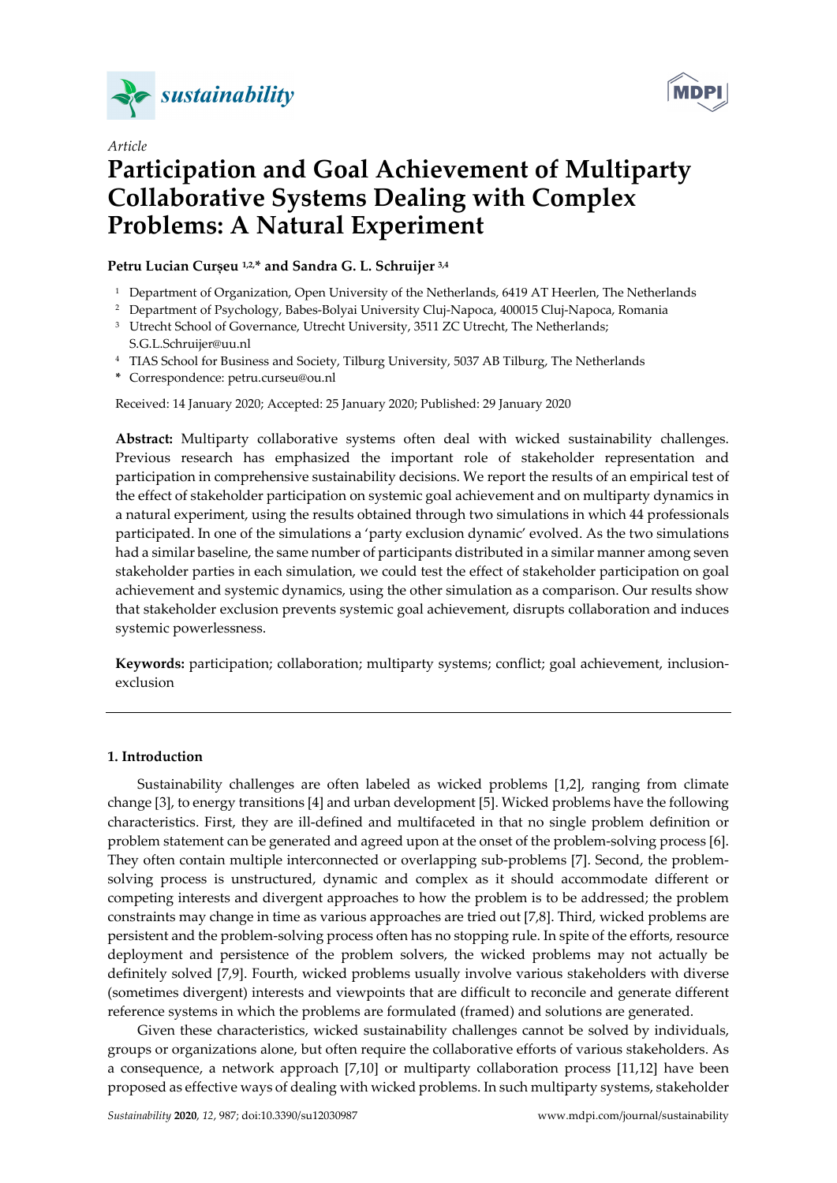

*Article*



# **Participation and Goal Achievement of Multiparty Collaborative Systems Dealing with Complex Problems: A Natural Experiment**

## **Petru Lucian Curșeu 1,2,\* and Sandra G. L. Schruijer 3,4**

- <sup>1</sup> Department of Organization, Open University of the Netherlands, 6419 AT Heerlen, The Netherlands
- <sup>2</sup> Department of Psychology, Babes-Bolyai University Cluj-Napoca, 400015 Cluj-Napoca, Romania
- <sup>3</sup> Utrecht School of Governance, Utrecht University, 3511 ZC Utrecht, The Netherlands; S.G.L.Schruijer@uu.nl
- <sup>4</sup> TIAS School for Business and Society, Tilburg University, 5037 AB Tilburg, The Netherlands
- **\*** Correspondence: petru.curseu@ou.nl

Received: 14 January 2020; Accepted: 25 January 2020; Published: 29 January 2020

**Abstract:** Multiparty collaborative systems often deal with wicked sustainability challenges. Previous research has emphasized the important role of stakeholder representation and participation in comprehensive sustainability decisions. We report the results of an empirical test of the effect of stakeholder participation on systemic goal achievement and on multiparty dynamics in a natural experiment, using the results obtained through two simulations in which 44 professionals participated. In one of the simulations a 'party exclusion dynamic' evolved. As the two simulations had a similar baseline, the same number of participants distributed in a similar manner among seven stakeholder parties in each simulation, we could test the effect of stakeholder participation on goal achievement and systemic dynamics, using the other simulation as a comparison. Our results show that stakeholder exclusion prevents systemic goal achievement, disrupts collaboration and induces systemic powerlessness.

**Keywords:** participation; collaboration; multiparty systems; conflict; goal achievement, inclusion‐ exclusion

## **1. Introduction**

Sustainability challenges are often labeled as wicked problems [1,2], ranging from climate change [3], to energy transitions [4] and urban development [5]. Wicked problems have the following characteristics. First, they are ill‐defined and multifaceted in that no single problem definition or problem statement can be generated and agreed upon at the onset of the problem‐solving process [6]. They often contain multiple interconnected or overlapping sub‐problems [7]. Second, the problem‐ solving process is unstructured, dynamic and complex as it should accommodate different or competing interests and divergent approaches to how the problem is to be addressed; the problem constraints may change in time as various approaches are tried out [7,8]. Third, wicked problems are persistent and the problem‐solving process often has no stopping rule. In spite of the efforts, resource deployment and persistence of the problem solvers, the wicked problems may not actually be definitely solved [7,9]. Fourth, wicked problems usually involve various stakeholders with diverse (sometimes divergent) interests and viewpoints that are difficult to reconcile and generate different reference systems in which the problems are formulated (framed) and solutions are generated.

Given these characteristics, wicked sustainability challenges cannot be solved by individuals, groups or organizations alone, but often require the collaborative efforts of various stakeholders. As a consequence, a network approach [7,10] or multiparty collaboration process [11,12] have been proposed as effective ways of dealing with wicked problems. In such multiparty systems, stakeholder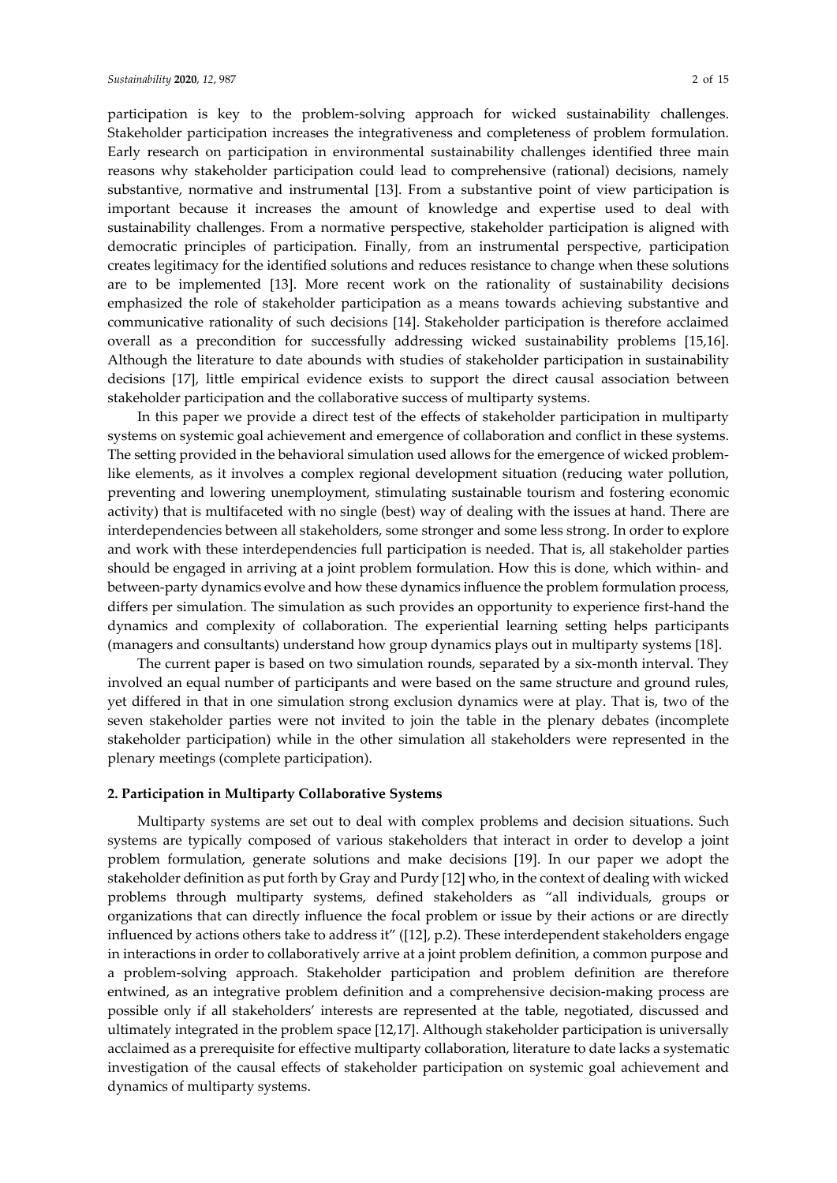participation is key to the problem‐solving approach for wicked sustainability challenges. Stakeholder participation increases the integrativeness and completeness of problem formulation. Early research on participation in environmental sustainability challenges identified three main reasons why stakeholder participation could lead to comprehensive (rational) decisions, namely substantive, normative and instrumental [13]. From a substantive point of view participation is important because it increases the amount of knowledge and expertise used to deal with sustainability challenges. From a normative perspective, stakeholder participation is aligned with democratic principles of participation. Finally, from an instrumental perspective, participation creates legitimacy for the identified solutions and reduces resistance to change when these solutions are to be implemented [13]. More recent work on the rationality of sustainability decisions emphasized the role of stakeholder participation as a means towards achieving substantive and communicative rationality of such decisions [14]. Stakeholder participation is therefore acclaimed overall as a precondition for successfully addressing wicked sustainability problems [15,16]. Although the literature to date abounds with studies of stakeholder participation in sustainability decisions [17], little empirical evidence exists to support the direct causal association between stakeholder participation and the collaborative success of multiparty systems.

In this paper we provide a direct test of the effects of stakeholder participation in multiparty systems on systemic goal achievement and emergence of collaboration and conflict in these systems. The setting provided in the behavioral simulation used allows for the emergence of wicked problemlike elements, as it involves a complex regional development situation (reducing water pollution, preventing and lowering unemployment, stimulating sustainable tourism and fostering economic activity) that is multifaceted with no single (best) way of dealing with the issues at hand. There are interdependencies between all stakeholders, some stronger and some less strong. In order to explore and work with these interdependencies full participation is needed. That is, all stakeholder parties should be engaged in arriving at a joint problem formulation. How this is done, which within‐ and between-party dynamics evolve and how these dynamics influence the problem formulation process, differs per simulation. The simulation as such provides an opportunity to experience first-hand the dynamics and complexity of collaboration. The experiential learning setting helps participants (managers and consultants) understand how group dynamics plays out in multiparty systems [18].

The current paper is based on two simulation rounds, separated by a six-month interval. They involved an equal number of participants and were based on the same structure and ground rules, yet differed in that in one simulation strong exclusion dynamics were at play. That is, two of the seven stakeholder parties were not invited to join the table in the plenary debates (incomplete stakeholder participation) while in the other simulation all stakeholders were represented in the plenary meetings (complete participation).

### **2. Participation in Multiparty Collaborative Systems**

Multiparty systems are set out to deal with complex problems and decision situations. Such systems are typically composed of various stakeholders that interact in order to develop a joint problem formulation, generate solutions and make decisions [19]. In our paper we adopt the stakeholder definition as put forth by Gray and Purdy [12] who, in the context of dealing with wicked problems through multiparty systems, defined stakeholders as "all individuals, groups or organizations that can directly influence the focal problem or issue by their actions or are directly influenced by actions others take to address it" ([12], p.2). These interdependent stakeholders engage in interactions in order to collaboratively arrive at a joint problem definition, a common purpose and a problem‐solving approach. Stakeholder participation and problem definition are therefore entwined, as an integrative problem definition and a comprehensive decision-making process are possible only if all stakeholders' interests are represented at the table, negotiated, discussed and ultimately integrated in the problem space [12,17]. Although stakeholder participation is universally acclaimed as a prerequisite for effective multiparty collaboration, literature to date lacks a systematic investigation of the causal effects of stakeholder participation on systemic goal achievement and dynamics of multiparty systems.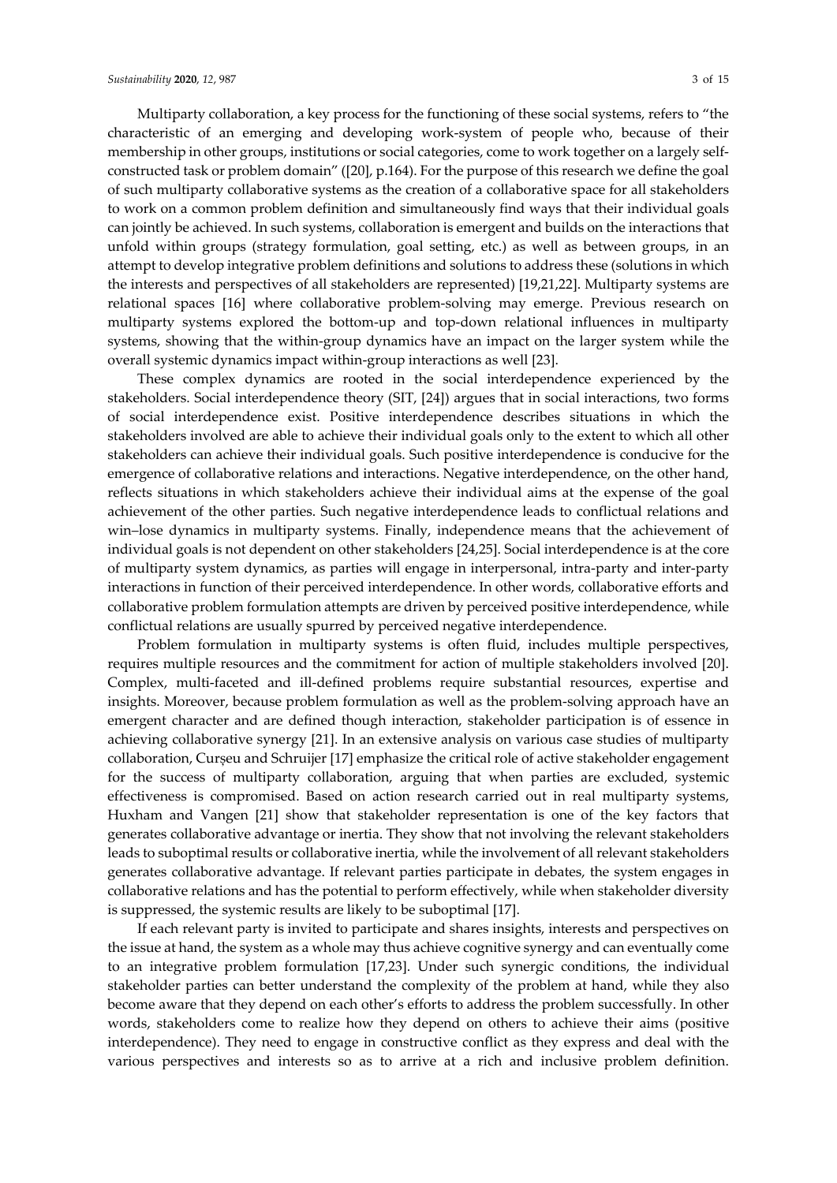Multiparty collaboration, a key process for the functioning of these social systems, refers to "the characteristic of an emerging and developing work‐system of people who, because of their membership in other groups, institutions or social categories, come to work together on a largely self‐ constructed task or problem domain" ([20], p.164). For the purpose of this research we define the goal of such multiparty collaborative systems as the creation of a collaborative space for all stakeholders to work on a common problem definition and simultaneously find ways that their individual goals can jointly be achieved. In such systems, collaboration is emergent and builds on the interactions that unfold within groups (strategy formulation, goal setting, etc.) as well as between groups, in an attempt to develop integrative problem definitions and solutions to address these (solutions in which the interests and perspectives of all stakeholders are represented) [19,21,22]. Multiparty systems are relational spaces [16] where collaborative problem‐solving may emerge. Previous research on multiparty systems explored the bottom‐up and top‐down relational influences in multiparty systems, showing that the within‐group dynamics have an impact on the larger system while the overall systemic dynamics impact within‐group interactions as well [23].

These complex dynamics are rooted in the social interdependence experienced by the stakeholders. Social interdependence theory (SIT, [24]) argues that in social interactions, two forms of social interdependence exist. Positive interdependence describes situations in which the stakeholders involved are able to achieve their individual goals only to the extent to which all other stakeholders can achieve their individual goals. Such positive interdependence is conducive for the emergence of collaborative relations and interactions. Negative interdependence, on the other hand, reflects situations in which stakeholders achieve their individual aims at the expense of the goal achievement of the other parties. Such negative interdependence leads to conflictual relations and win–lose dynamics in multiparty systems. Finally, independence means that the achievement of individual goals is not dependent on other stakeholders [24,25]. Social interdependence is at the core of multiparty system dynamics, as parties will engage in interpersonal, intra‐party and inter‐party interactions in function of their perceived interdependence. In other words, collaborative efforts and collaborative problem formulation attempts are driven by perceived positive interdependence, while conflictual relations are usually spurred by perceived negative interdependence.

Problem formulation in multiparty systems is often fluid, includes multiple perspectives, requires multiple resources and the commitment for action of multiple stakeholders involved [20]. Complex, multi-faceted and ill-defined problems require substantial resources, expertise and insights. Moreover, because problem formulation as well as the problem‐solving approach have an emergent character and are defined though interaction, stakeholder participation is of essence in achieving collaborative synergy [21]. In an extensive analysis on various case studies of multiparty collaboration, Curșeu and Schruijer [17] emphasize the critical role of active stakeholder engagement for the success of multiparty collaboration, arguing that when parties are excluded, systemic effectiveness is compromised. Based on action research carried out in real multiparty systems, Huxham and Vangen [21] show that stakeholder representation is one of the key factors that generates collaborative advantage or inertia. They show that not involving the relevant stakeholders leads to suboptimal results or collaborative inertia, while the involvement of all relevant stakeholders generates collaborative advantage. If relevant parties participate in debates, the system engages in collaborative relations and has the potential to perform effectively, while when stakeholder diversity is suppressed, the systemic results are likely to be suboptimal [17].

If each relevant party is invited to participate and shares insights, interests and perspectives on the issue at hand, the system as a whole may thus achieve cognitive synergy and can eventually come to an integrative problem formulation [17,23]. Under such synergic conditions, the individual stakeholder parties can better understand the complexity of the problem at hand, while they also become aware that they depend on each other's efforts to address the problem successfully. In other words, stakeholders come to realize how they depend on others to achieve their aims (positive interdependence). They need to engage in constructive conflict as they express and deal with the various perspectives and interests so as to arrive at a rich and inclusive problem definition.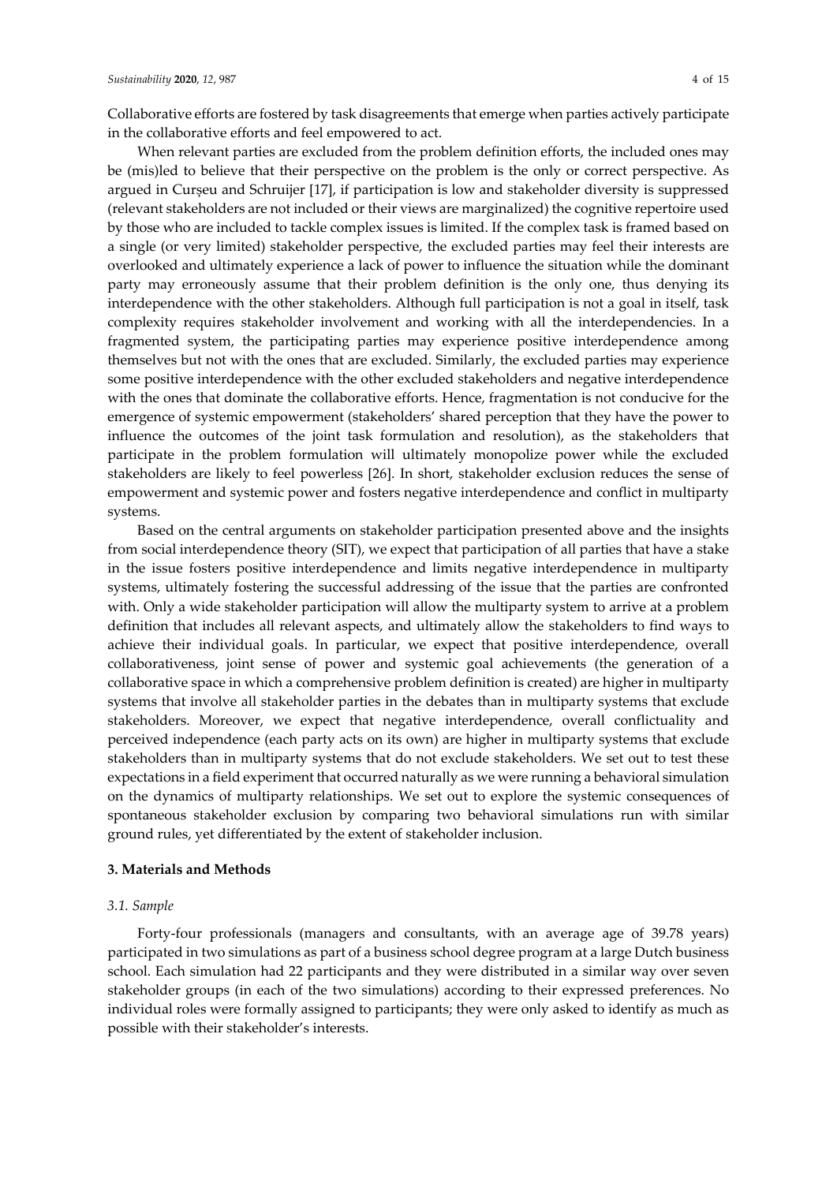Collaborative efforts are fostered by task disagreements that emerge when parties actively participate in the collaborative efforts and feel empowered to act.

When relevant parties are excluded from the problem definition efforts, the included ones may be (mis)led to believe that their perspective on the problem is the only or correct perspective. As argued in Curșeu and Schruijer [17], if participation is low and stakeholder diversity is suppressed (relevant stakeholders are not included or their views are marginalized) the cognitive repertoire used by those who are included to tackle complex issues is limited. If the complex task is framed based on a single (or very limited) stakeholder perspective, the excluded parties may feel their interests are overlooked and ultimately experience a lack of power to influence the situation while the dominant party may erroneously assume that their problem definition is the only one, thus denying its interdependence with the other stakeholders. Although full participation is not a goal in itself, task complexity requires stakeholder involvement and working with all the interdependencies. In a fragmented system, the participating parties may experience positive interdependence among themselves but not with the ones that are excluded. Similarly, the excluded parties may experience some positive interdependence with the other excluded stakeholders and negative interdependence with the ones that dominate the collaborative efforts. Hence, fragmentation is not conducive for the emergence of systemic empowerment (stakeholders' shared perception that they have the power to influence the outcomes of the joint task formulation and resolution), as the stakeholders that participate in the problem formulation will ultimately monopolize power while the excluded stakeholders are likely to feel powerless [26]. In short, stakeholder exclusion reduces the sense of empowerment and systemic power and fosters negative interdependence and conflict in multiparty systems.

Based on the central arguments on stakeholder participation presented above and the insights from social interdependence theory (SIT), we expect that participation of all parties that have a stake in the issue fosters positive interdependence and limits negative interdependence in multiparty systems, ultimately fostering the successful addressing of the issue that the parties are confronted with. Only a wide stakeholder participation will allow the multiparty system to arrive at a problem definition that includes all relevant aspects, and ultimately allow the stakeholders to find ways to achieve their individual goals. In particular, we expect that positive interdependence, overall collaborativeness, joint sense of power and systemic goal achievements (the generation of a collaborative space in which a comprehensive problem definition is created) are higher in multiparty systems that involve all stakeholder parties in the debates than in multiparty systems that exclude stakeholders. Moreover, we expect that negative interdependence, overall conflictuality and perceived independence (each party acts on its own) are higher in multiparty systems that exclude stakeholders than in multiparty systems that do not exclude stakeholders. We set out to test these expectations in a field experiment that occurred naturally as we were running a behavioral simulation on the dynamics of multiparty relationships. We set out to explore the systemic consequences of spontaneous stakeholder exclusion by comparing two behavioral simulations run with similar ground rules, yet differentiated by the extent of stakeholder inclusion.

#### **3. Materials and Methods**

#### *3.1. Sample*

Forty-four professionals (managers and consultants, with an average age of 39.78 years) participated in two simulations as part of a business school degree program at a large Dutch business school. Each simulation had 22 participants and they were distributed in a similar way over seven stakeholder groups (in each of the two simulations) according to their expressed preferences. No individual roles were formally assigned to participants; they were only asked to identify as much as possible with their stakeholder's interests.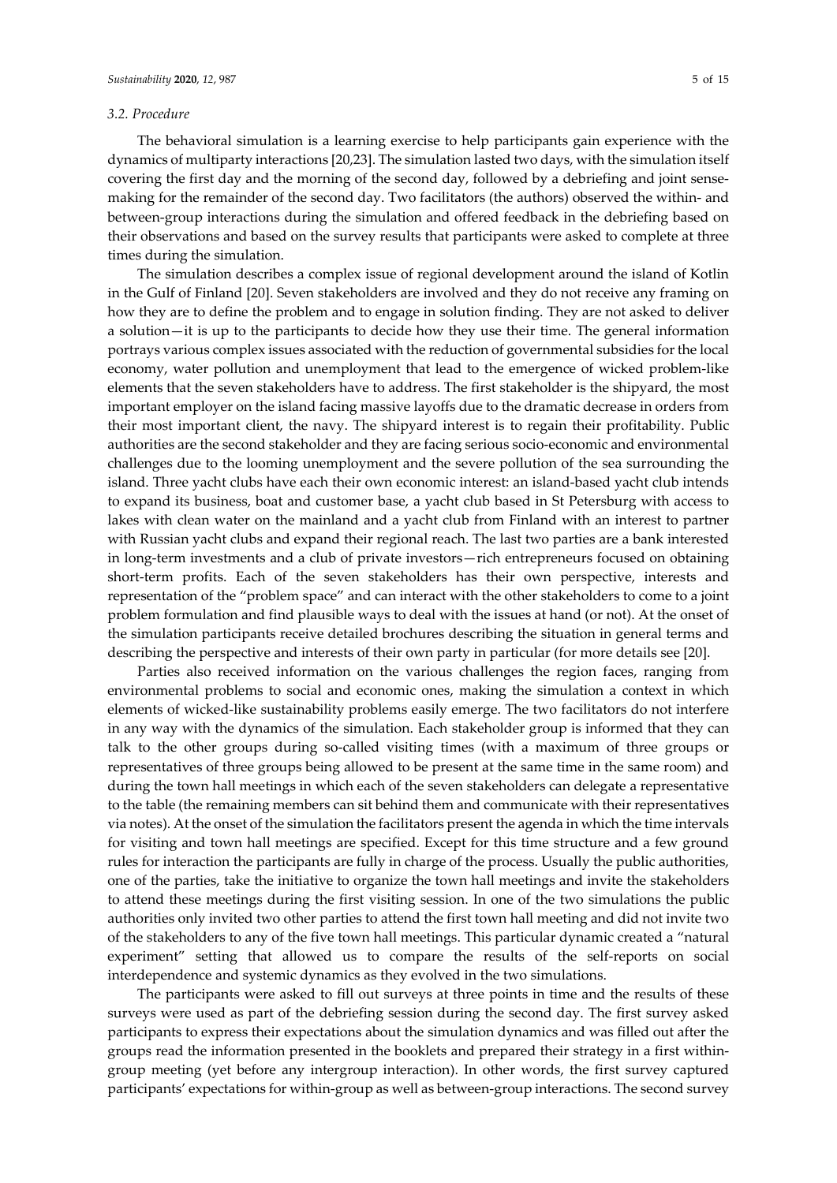## *3.2. Procedure*

The behavioral simulation is a learning exercise to help participants gain experience with the dynamics of multiparty interactions [20,23]. The simulation lasted two days, with the simulation itself covering the first day and the morning of the second day, followed by a debriefing and joint sensemaking for the remainder of the second day. Two facilitators (the authors) observed the within‐ and between‐group interactions during the simulation and offered feedback in the debriefing based on their observations and based on the survey results that participants were asked to complete at three times during the simulation.

The simulation describes a complex issue of regional development around the island of Kotlin in the Gulf of Finland [20]. Seven stakeholders are involved and they do not receive any framing on how they are to define the problem and to engage in solution finding. They are not asked to deliver a solution—it is up to the participants to decide how they use their time. The general information portrays various complex issues associated with the reduction of governmental subsidies for the local economy, water pollution and unemployment that lead to the emergence of wicked problem‐like elements that the seven stakeholders have to address. The first stakeholder is the shipyard, the most important employer on the island facing massive layoffs due to the dramatic decrease in orders from their most important client, the navy. The shipyard interest is to regain their profitability. Public authorities are the second stakeholder and they are facing serious socio‐economic and environmental challenges due to the looming unemployment and the severe pollution of the sea surrounding the island. Three yacht clubs have each their own economic interest: an island‐based yacht club intends to expand its business, boat and customer base, a yacht club based in St Petersburg with access to lakes with clean water on the mainland and a yacht club from Finland with an interest to partner with Russian yacht clubs and expand their regional reach. The last two parties are a bank interested in long-term investments and a club of private investors—rich entrepreneurs focused on obtaining short-term profits. Each of the seven stakeholders has their own perspective, interests and representation of the "problem space" and can interact with the other stakeholders to come to a joint problem formulation and find plausible ways to deal with the issues at hand (or not). At the onset of the simulation participants receive detailed brochures describing the situation in general terms and describing the perspective and interests of their own party in particular (for more details see [20].

Parties also received information on the various challenges the region faces, ranging from environmental problems to social and economic ones, making the simulation a context in which elements of wicked‐like sustainability problems easily emerge. The two facilitators do not interfere in any way with the dynamics of the simulation. Each stakeholder group is informed that they can talk to the other groups during so‐called visiting times (with a maximum of three groups or representatives of three groups being allowed to be present at the same time in the same room) and during the town hall meetings in which each of the seven stakeholders can delegate a representative to the table (the remaining members can sit behind them and communicate with their representatives via notes). At the onset of the simulation the facilitators present the agenda in which the time intervals for visiting and town hall meetings are specified. Except for this time structure and a few ground rules for interaction the participants are fully in charge of the process. Usually the public authorities, one of the parties, take the initiative to organize the town hall meetings and invite the stakeholders to attend these meetings during the first visiting session. In one of the two simulations the public authorities only invited two other parties to attend the first town hall meeting and did not invite two of the stakeholders to any of the five town hall meetings. This particular dynamic created a "natural experiment" setting that allowed us to compare the results of the self‐reports on social interdependence and systemic dynamics as they evolved in the two simulations.

The participants were asked to fill out surveys at three points in time and the results of these surveys were used as part of the debriefing session during the second day. The first survey asked participants to express their expectations about the simulation dynamics and was filled out after the groups read the information presented in the booklets and prepared their strategy in a first within‐ group meeting (yet before any intergroup interaction). In other words, the first survey captured participants' expectations for within‐group as well as between‐group interactions. The second survey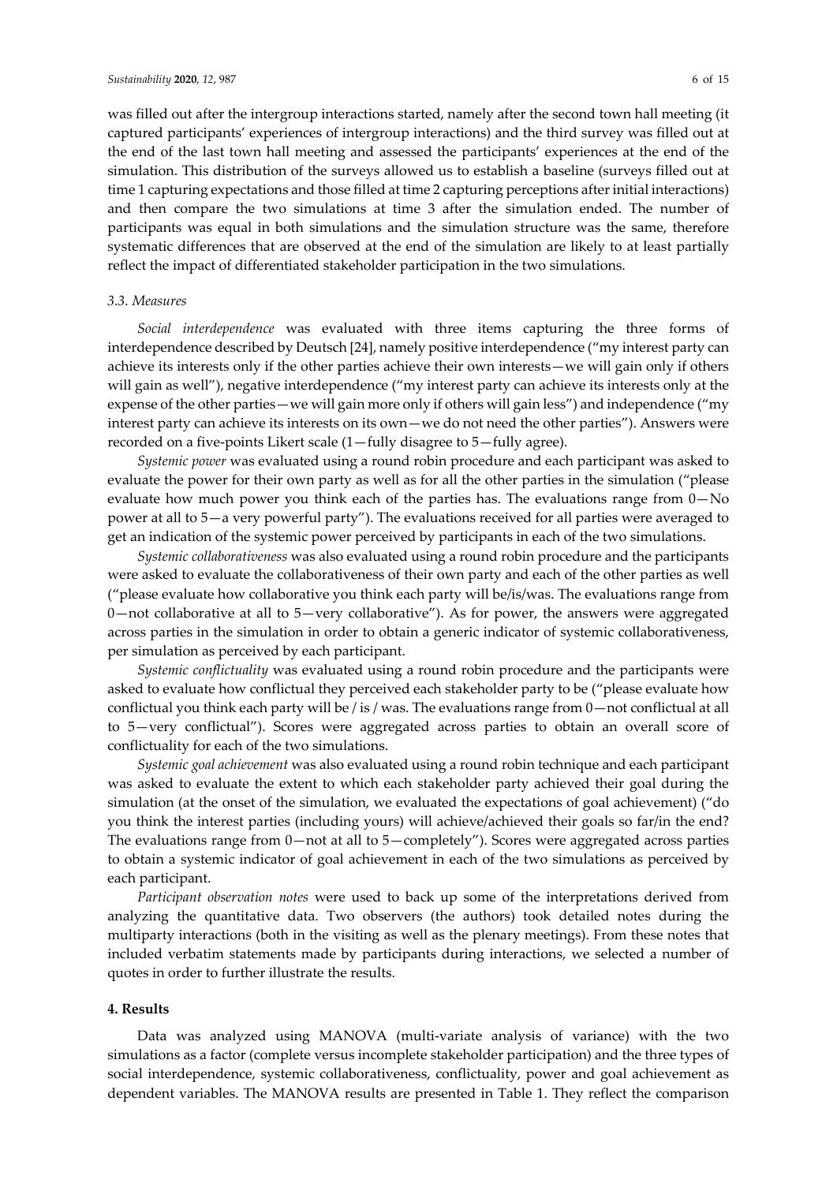was filled out after the intergroup interactions started, namely after the second town hall meeting (it captured participants' experiences of intergroup interactions) and the third survey was filled out at the end of the last town hall meeting and assessed the participants' experiences at the end of the simulation. This distribution of the surveys allowed us to establish a baseline (surveys filled out at time 1 capturing expectations and those filled at time 2 capturing perceptions afterinitial interactions) and then compare the two simulations at time 3 after the simulation ended. The number of participants was equal in both simulations and the simulation structure was the same, therefore systematic differences that are observed at the end of the simulation are likely to at least partially reflect the impact of differentiated stakeholder participation in the two simulations.

## *3.3. Measures*

*Social interdependence* was evaluated with three items capturing the three forms of interdependence described by Deutsch [24], namely positive interdependence ("my interest party can achieve its interests only if the other parties achieve their own interests—we will gain only if others will gain as well"), negative interdependence ("my interest party can achieve its interests only at the expense of the other parties—we will gain more only if others will gain less") and independence ("my interest party can achieve its interests on its own—we do not need the other parties"). Answers were recorded on a five-points Likert scale (1—fully disagree to 5—fully agree).

*Systemic power* was evaluated using a round robin procedure and each participant was asked to evaluate the power for their own party as well as for all the other parties in the simulation ("please evaluate how much power you think each of the parties has. The evaluations range from  $0 - No$ power at all to 5—a very powerful party"). The evaluations received for all parties were averaged to get an indication of the systemic power perceived by participants in each of the two simulations.

*Systemic collaborativeness* was also evaluated using a round robin procedure and the participants were asked to evaluate the collaborativeness of their own party and each of the other parties as well ("please evaluate how collaborative you think each party will be/is/was. The evaluations range from 0—not collaborative at all to 5—very collaborative"). As for power, the answers were aggregated across parties in the simulation in order to obtain a generic indicator of systemic collaborativeness, per simulation as perceived by each participant.

*Systemic conflictuality* was evaluated using a round robin procedure and the participants were asked to evaluate how conflictual they perceived each stakeholder party to be ("please evaluate how conflictual you think each party will be / is / was. The evaluations range from 0—not conflictual at all to 5—very conflictual"). Scores were aggregated across parties to obtain an overall score of conflictuality for each of the two simulations.

*Systemic goal achievement* was also evaluated using a round robin technique and each participant was asked to evaluate the extent to which each stakeholder party achieved their goal during the simulation (at the onset of the simulation, we evaluated the expectations of goal achievement) ("do you think the interest parties (including yours) will achieve/achieved their goals so far/in the end? The evaluations range from 0—not at all to 5—completely"). Scores were aggregated across parties to obtain a systemic indicator of goal achievement in each of the two simulations as perceived by each participant.

*Participant observation notes* were used to back up some of the interpretations derived from analyzing the quantitative data. Two observers (the authors) took detailed notes during the multiparty interactions (both in the visiting as well as the plenary meetings). From these notes that included verbatim statements made by participants during interactions, we selected a number of quotes in order to further illustrate the results.

#### **4. Results**

Data was analyzed using MANOVA (multi‐variate analysis of variance) with the two simulations as a factor (complete versus incomplete stakeholder participation) and the three types of social interdependence, systemic collaborativeness, conflictuality, power and goal achievement as dependent variables. The MANOVA results are presented in Table 1. They reflect the comparison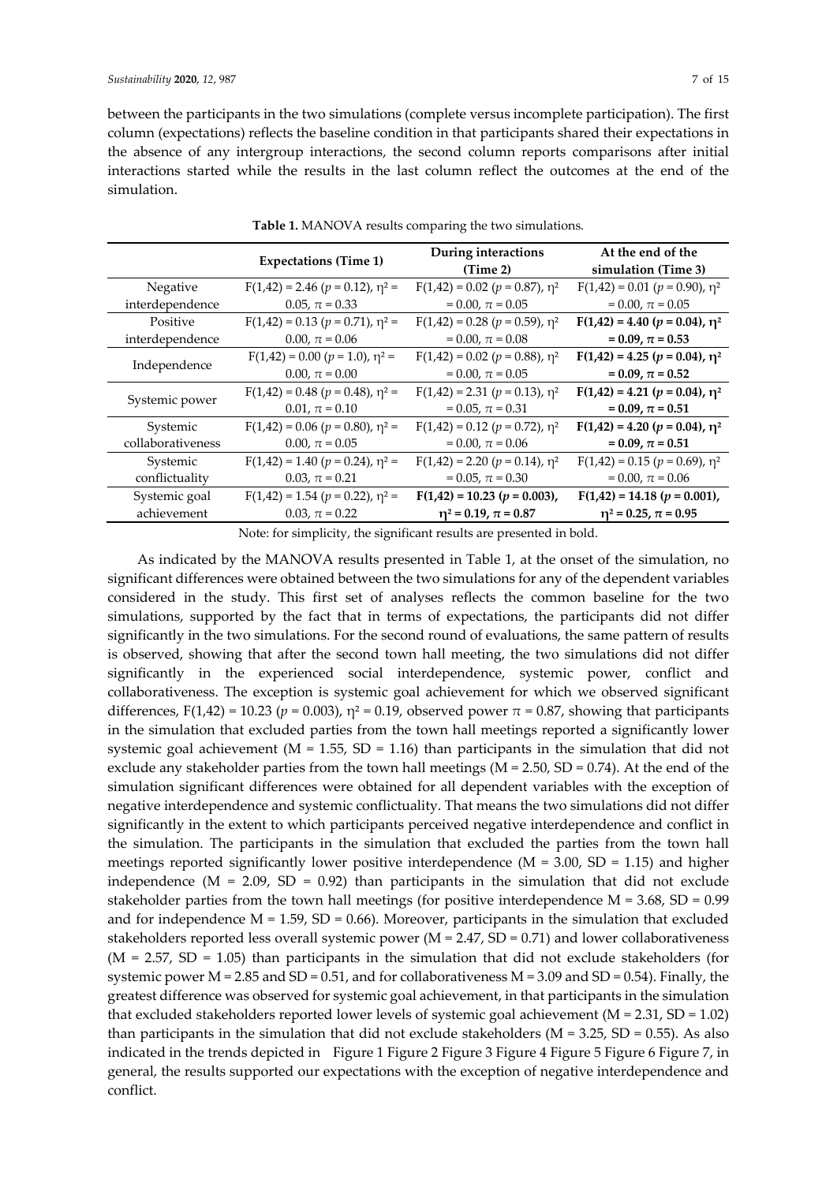between the participants in the two simulations (complete versus incomplete participation). The first column (expectations) reflects the baseline condition in that participants shared their expectations in the absence of any intergroup interactions, the second column reports comparisons after initial interactions started while the results in the last column reflect the outcomes at the end of the simulation.

|                   | <b>Expectations (Time 1)</b>                | During interactions<br>(Time 2)           | At the end of the<br>simulation (Time 3) |
|-------------------|---------------------------------------------|-------------------------------------------|------------------------------------------|
|                   |                                             |                                           |                                          |
| Negative          | $F(1,42) = 2.46$ (p = 0.12), $\eta^2$ =     | $F(1,42) = 0.02$ ( $p = 0.87$ ), $\eta^2$ | $F(1,42) = 0.01 (p = 0.90), \eta^2$      |
| interdependence   | $0.05, \pi = 0.33$                          | $= 0.00, \pi = 0.05$                      | $= 0.00, \pi = 0.05$                     |
| Positive          | $F(1,42) = 0.13 (p = 0.71), \eta^2 =$       | $F(1,42) = 0.28$ ( $p = 0.59$ ), $\eta^2$ | $F(1,42) = 4.40 (p = 0.04), \eta^2$      |
| interdependence   | $0.00, \pi = 0.06$                          | $= 0.00, \pi = 0.08$                      | $= 0.09, \pi = 0.53$                     |
| Independence      | $F(1,42) = 0.00 (p = 1.0), \eta^2 =$        | $F(1,42) = 0.02$ ( $p = 0.88$ ), $\eta^2$ | $F(1,42) = 4.25 (p = 0.04), \eta^2$      |
|                   | $0.00, \pi = 0.00$                          | $= 0.00, \pi = 0.05$                      | $= 0.09, \pi = 0.52$                     |
| Systemic power    | $F(1,42) = 0.48$ ( $p = 0.48$ ), $\eta^2 =$ | $F(1,42) = 2.31 (p = 0.13), \eta^2$       | $F(1,42) = 4.21 (p = 0.04), \eta^2$      |
|                   | $0.01, \pi = 0.10$                          | $= 0.05, \pi = 0.31$                      | $= 0.09, \pi = 0.51$                     |
| Systemic          | $F(1,42) = 0.06$ ( $p = 0.80$ ), $\eta^2 =$ | $F(1,42) = 0.12$ ( $p = 0.72$ ), $\eta^2$ | $F(1,42) = 4.20 (p = 0.04), \eta^2$      |
| collaborativeness | $0.00, \pi = 0.05$                          | $= 0.00, \pi = 0.06$                      | $= 0.09, \pi = 0.51$                     |
| Systemic          | $F(1,42) = 1.40 (p = 0.24), \eta^2 =$       | $F(1,42) = 2.20 (p = 0.14), \eta^2$       | $F(1,42) = 0.15 (p = 0.69), \eta^2$      |
| conflictuality    | $0.03, \pi = 0.21$                          | $= 0.05, \pi = 0.30$                      | $= 0.00, \pi = 0.06$                     |
| Systemic goal     | $F(1,42) = 1.54$ ( $p = 0.22$ ), $\eta^2 =$ | $F(1,42) = 10.23 (p = 0.003),$            | $F(1,42) = 14.18 (p = 0.001),$           |
| achievement       | $0.03, \pi = 0.22$                          | $\eta^2$ = 0.19, $\pi$ = 0.87             | $\eta^2 = 0.25$ , $\pi = 0.95$           |

**Table 1.** MANOVA results comparing the two simulations.

Note: for simplicity, the significant results are presented in bold.

As indicated by the MANOVA results presented in Table 1, at the onset of the simulation, no significant differences were obtained between the two simulations for any of the dependent variables considered in the study. This first set of analyses reflects the common baseline for the two simulations, supported by the fact that in terms of expectations, the participants did not differ significantly in the two simulations. For the second round of evaluations, the same pattern of results is observed, showing that after the second town hall meeting, the two simulations did not differ significantly in the experienced social interdependence, systemic power, conflict and collaborativeness. The exception is systemic goal achievement for which we observed significant differences, F(1,42) = 10.23 ( $p = 0.003$ ),  $\eta^2 = 0.19$ , observed power  $\pi = 0.87$ , showing that participants in the simulation that excluded parties from the town hall meetings reported a significantly lower systemic goal achievement ( $M = 1.55$ ,  $SD = 1.16$ ) than participants in the simulation that did not exclude any stakeholder parties from the town hall meetings ( $M = 2.50$ ,  $SD = 0.74$ ). At the end of the simulation significant differences were obtained for all dependent variables with the exception of negative interdependence and systemic conflictuality. That means the two simulations did not differ significantly in the extent to which participants perceived negative interdependence and conflict in the simulation. The participants in the simulation that excluded the parties from the town hall meetings reported significantly lower positive interdependence ( $M = 3.00$ ,  $SD = 1.15$ ) and higher independence ( $M = 2.09$ ,  $SD = 0.92$ ) than participants in the simulation that did not exclude stakeholder parties from the town hall meetings (for positive interdependence  $M = 3.68$ ,  $SD = 0.99$ ) and for independence  $M = 1.59$ ,  $SD = 0.66$ ). Moreover, participants in the simulation that excluded stakeholders reported less overall systemic power ( $M = 2.47$ ,  $SD = 0.71$ ) and lower collaborativeness  $(M = 2.57, SD = 1.05)$  than participants in the simulation that did not exclude stakeholders (for systemic power  $M = 2.85$  and  $SD = 0.51$ , and for collaborativeness  $M = 3.09$  and  $SD = 0.54$ ). Finally, the greatest difference was observed for systemic goal achievement, in that participants in the simulation that excluded stakeholders reported lower levels of systemic goal achievement  $(M = 2.31, SD = 1.02)$ than participants in the simulation that did not exclude stakeholders ( $M = 3.25$ ,  $SD = 0.55$ ). As also indicated in the trends depicted in Figure 1 Figure 2 Figure 3 Figure 4 Figure 5 Figure 6 Figure 7, in general, the results supported our expectations with the exception of negative interdependence and conflict.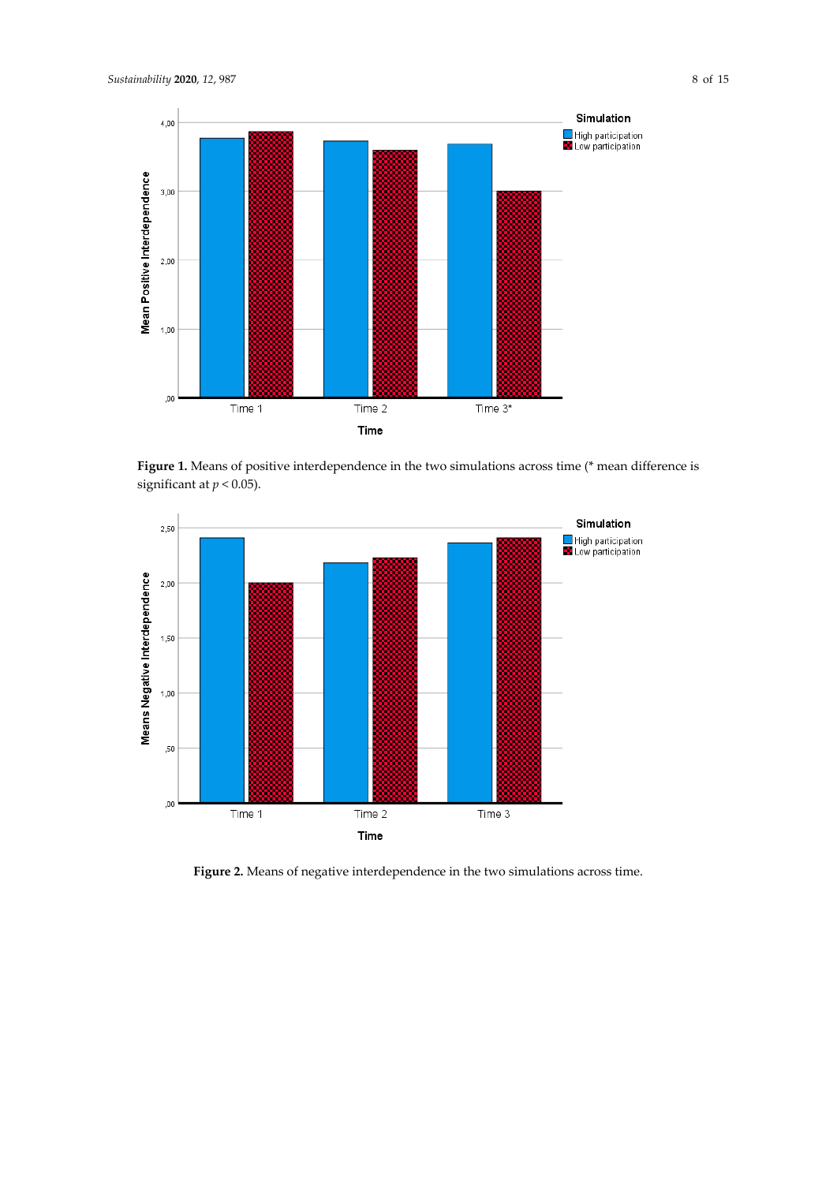

**Figure 1.** Means of positive interdependence in the two simulations across time (\* mean difference is significant at  $p < 0.05$ ).



**Figure 2.** Means of negative interdependence in the two simulations across time.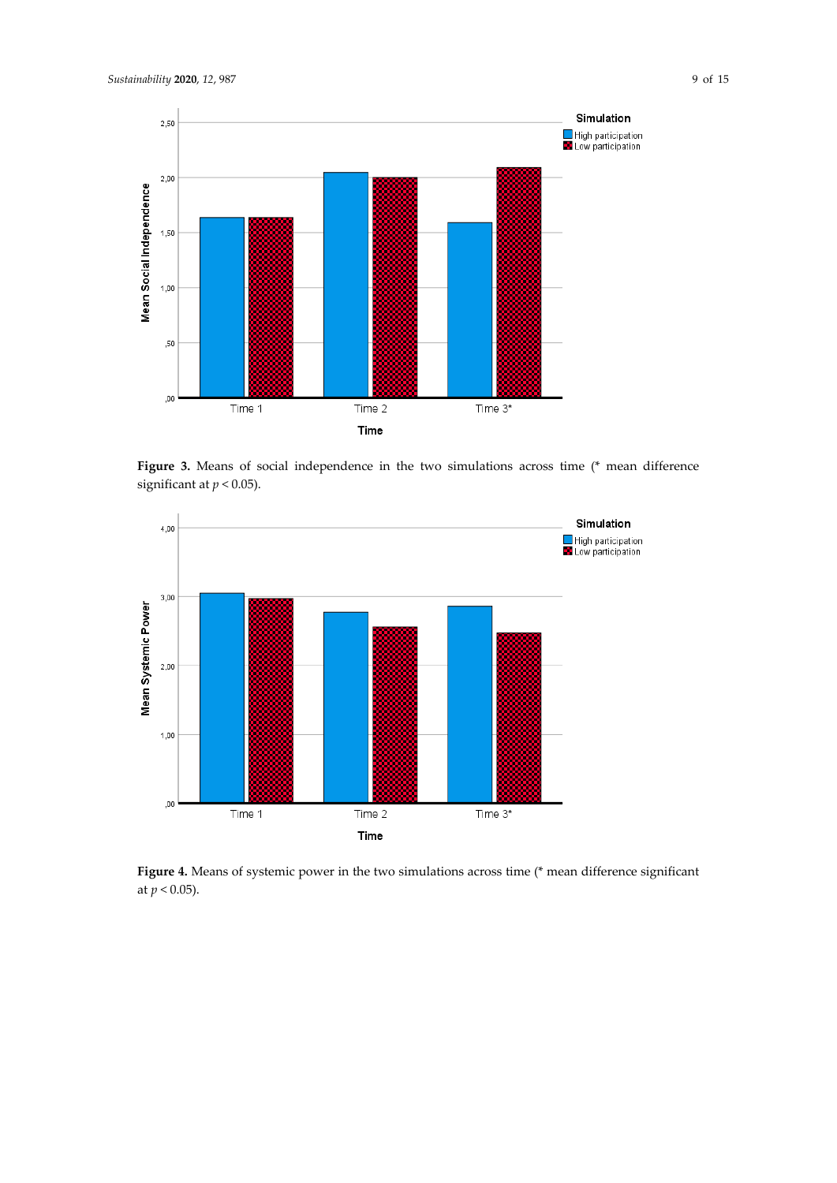

**Figure 3.** Means of social independence in the two simulations across time (\* mean difference significant at  $p < 0.05$ ).



**Figure 4.** Means of systemic power in the two simulations across time (\* mean difference significant at *p* < 0.05).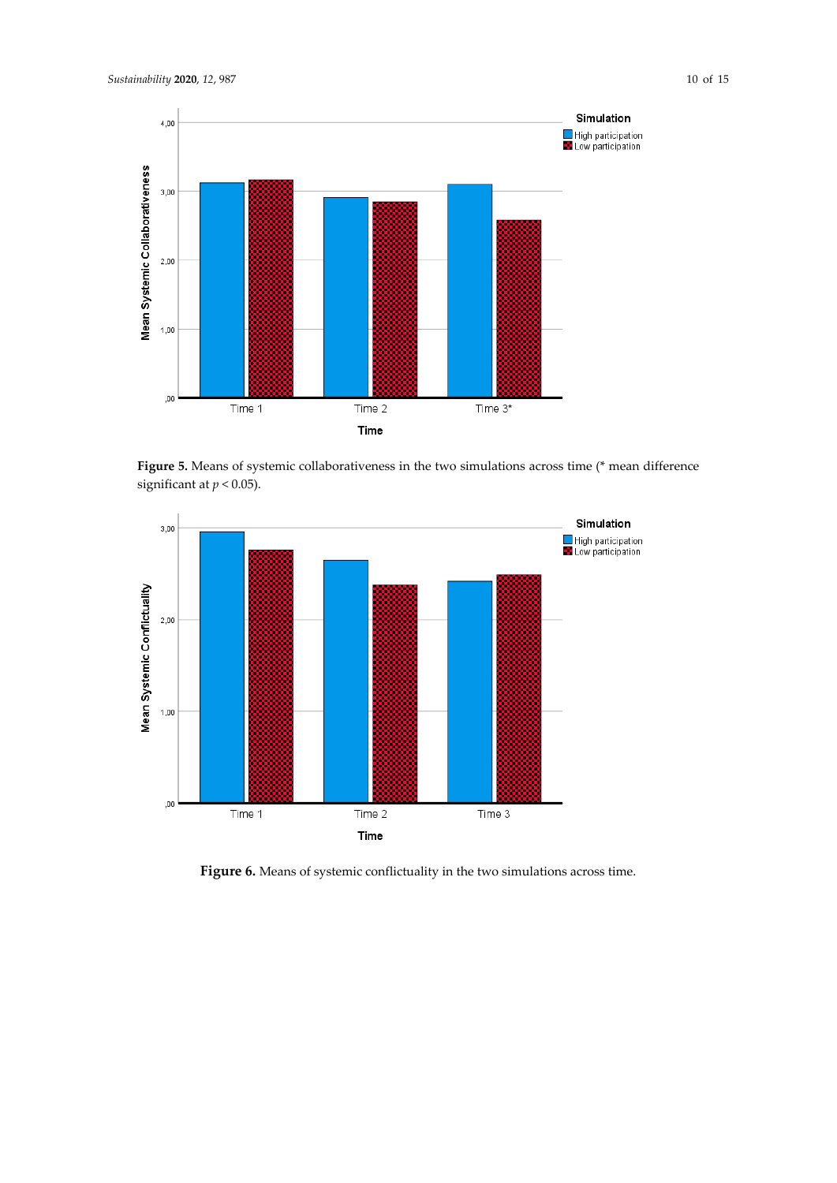

**Figure 5.** Means of systemic collaborativeness in the two simulations across time (\* mean difference significant at  $p < 0.05$ ).



**Figure 6.** Means of systemic conflictuality in the two simulations across time.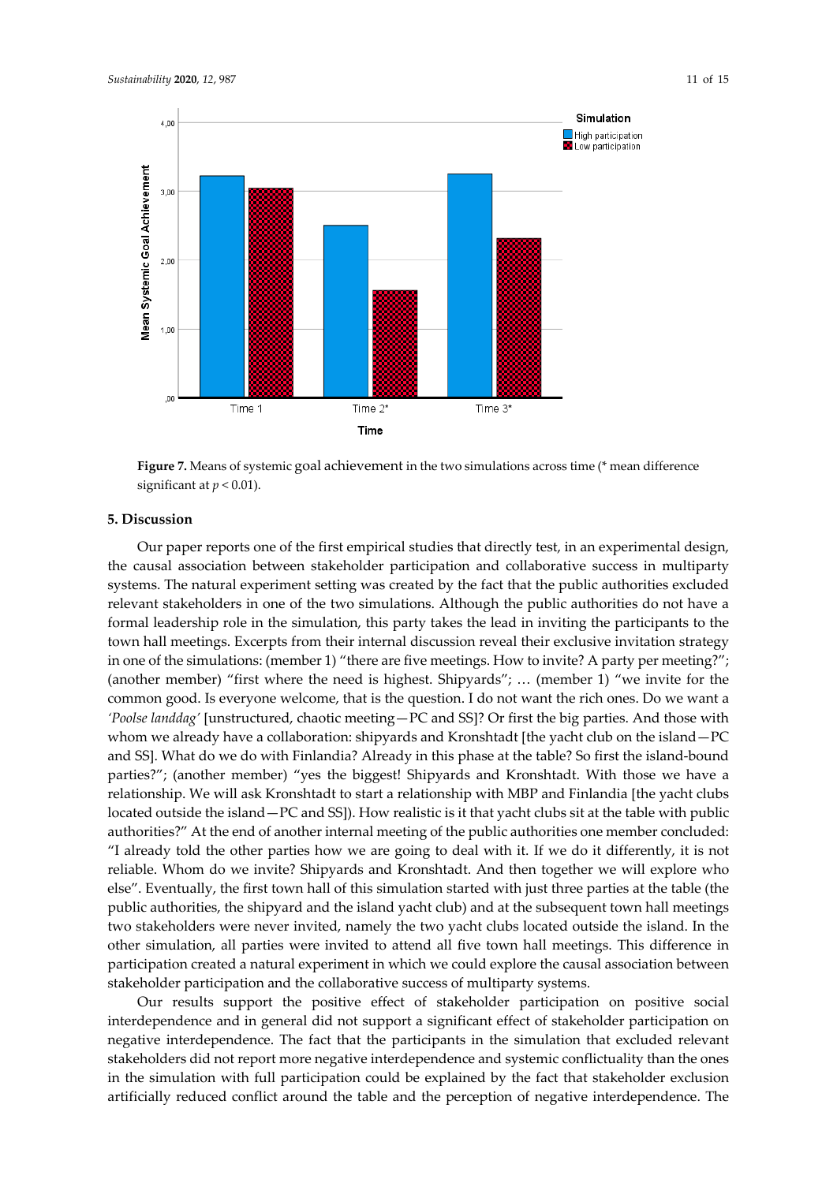

**Figure 7.** Means of systemic goal achievement in the two simulations across time (\* mean difference significant at  $p < 0.01$ ).

## **5. Discussion**

Our paper reports one of the first empirical studies that directly test, in an experimental design, the causal association between stakeholder participation and collaborative success in multiparty systems. The natural experiment setting was created by the fact that the public authorities excluded relevant stakeholders in one of the two simulations. Although the public authorities do not have a formal leadership role in the simulation, this party takes the lead in inviting the participants to the town hall meetings. Excerpts from their internal discussion reveal their exclusive invitation strategy in one of the simulations: (member 1) "there are five meetings. How to invite? A party per meeting?"; (another member) "first where the need is highest. Shipyards"; … (member 1) "we invite for the common good. Is everyone welcome, that is the question. I do not want the rich ones. Do we want a *'Poolse landdag'* [unstructured, chaotic meeting—PC and SS]? Or first the big parties. And those with whom we already have a collaboration: shipyards and Kronshtadt [the yacht club on the island–PC and SS]. What do we do with Finlandia? Already in this phase at the table? So first the island‐bound parties?"; (another member) "yes the biggest! Shipyards and Kronshtadt. With those we have a relationship. We will ask Kronshtadt to start a relationship with MBP and Finlandia [the yacht clubs located outside the island—PC and SS]). How realistic is it that yacht clubs sit at the table with public authorities?" At the end of another internal meeting of the public authorities one member concluded: "I already told the other parties how we are going to deal with it. If we do it differently, it is not reliable. Whom do we invite? Shipyards and Kronshtadt. And then together we will explore who else". Eventually, the first town hall of this simulation started with just three parties at the table (the public authorities, the shipyard and the island yacht club) and at the subsequent town hall meetings two stakeholders were never invited, namely the two yacht clubs located outside the island. In the other simulation, all parties were invited to attend all five town hall meetings. This difference in participation created a natural experiment in which we could explore the causal association between stakeholder participation and the collaborative success of multiparty systems.

Our results support the positive effect of stakeholder participation on positive social interdependence and in general did not support a significant effect of stakeholder participation on negative interdependence. The fact that the participants in the simulation that excluded relevant stakeholders did not report more negative interdependence and systemic conflictuality than the ones in the simulation with full participation could be explained by the fact that stakeholder exclusion artificially reduced conflict around the table and the perception of negative interdependence. The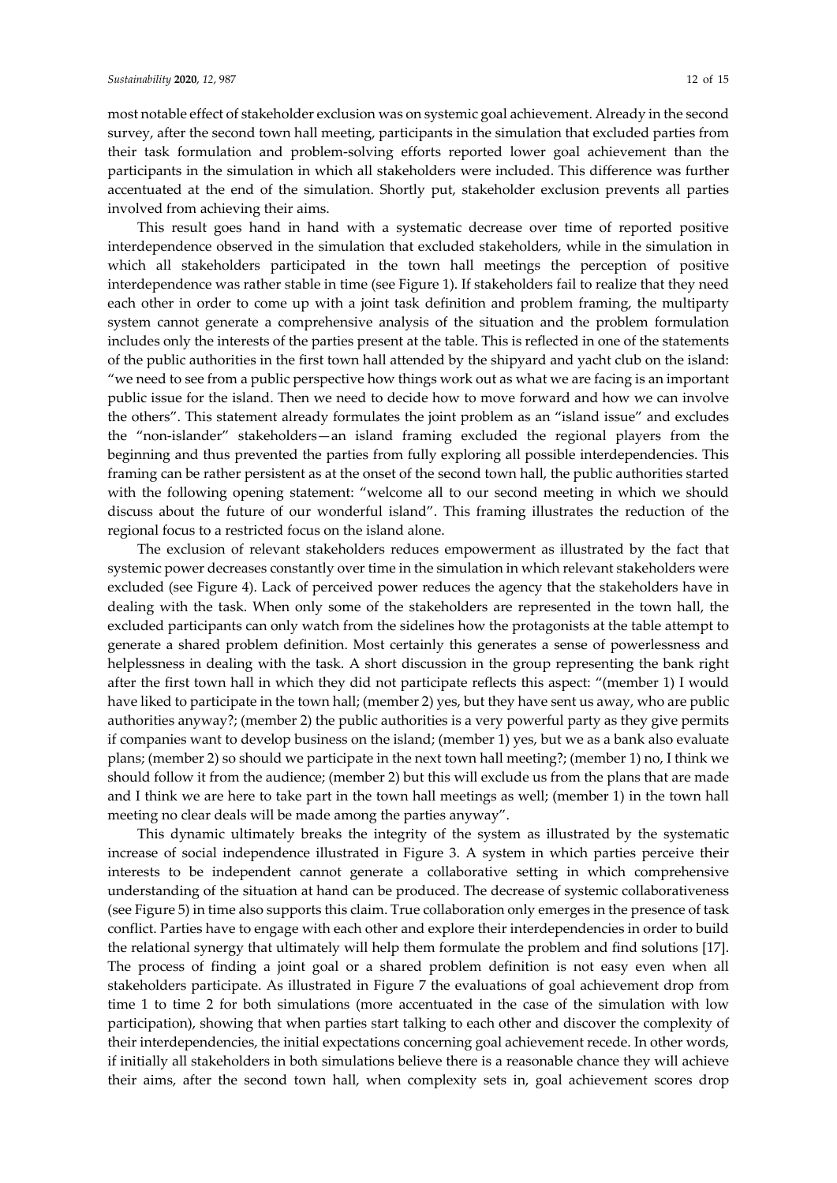most notable effect of stakeholder exclusion was on systemic goal achievement. Already in the second survey, after the second town hall meeting, participants in the simulation that excluded parties from their task formulation and problem‐solving efforts reported lower goal achievement than the participants in the simulation in which all stakeholders were included. This difference was further accentuated at the end of the simulation. Shortly put, stakeholder exclusion prevents all parties involved from achieving their aims.

This result goes hand in hand with a systematic decrease over time of reported positive interdependence observed in the simulation that excluded stakeholders, while in the simulation in which all stakeholders participated in the town hall meetings the perception of positive interdependence was rather stable in time (see Figure 1). If stakeholders fail to realize that they need each other in order to come up with a joint task definition and problem framing, the multiparty system cannot generate a comprehensive analysis of the situation and the problem formulation includes only the interests of the parties present at the table. This is reflected in one of the statements of the public authorities in the first town hall attended by the shipyard and yacht club on the island: "we need to see from a public perspective how things work out as what we are facing is an important public issue for the island. Then we need to decide how to move forward and how we can involve the others". This statement already formulates the joint problem as an "island issue" and excludes the "non‐islander" stakeholders—an island framing excluded the regional players from the beginning and thus prevented the parties from fully exploring all possible interdependencies. This framing can be rather persistent as at the onset of the second town hall, the public authorities started with the following opening statement: "welcome all to our second meeting in which we should discuss about the future of our wonderful island". This framing illustrates the reduction of the regional focus to a restricted focus on the island alone.

The exclusion of relevant stakeholders reduces empowerment as illustrated by the fact that systemic power decreases constantly over time in the simulation in which relevant stakeholders were excluded (see Figure 4). Lack of perceived power reduces the agency that the stakeholders have in dealing with the task. When only some of the stakeholders are represented in the town hall, the excluded participants can only watch from the sidelines how the protagonists at the table attempt to generate a shared problem definition. Most certainly this generates a sense of powerlessness and helplessness in dealing with the task. A short discussion in the group representing the bank right after the first town hall in which they did not participate reflects this aspect: "(member 1) I would have liked to participate in the town hall; (member 2) yes, but they have sent us away, who are public authorities anyway?; (member 2) the public authorities is a very powerful party as they give permits if companies want to develop business on the island; (member 1) yes, but we as a bank also evaluate plans; (member 2) so should we participate in the next town hall meeting?; (member 1) no, I think we should follow it from the audience; (member 2) but this will exclude us from the plans that are made and I think we are here to take part in the town hall meetings as well; (member 1) in the town hall meeting no clear deals will be made among the parties anyway".

This dynamic ultimately breaks the integrity of the system as illustrated by the systematic increase of social independence illustrated in Figure 3. A system in which parties perceive their interests to be independent cannot generate a collaborative setting in which comprehensive understanding of the situation at hand can be produced. The decrease of systemic collaborativeness (see Figure 5) in time also supports this claim. True collaboration only emerges in the presence of task conflict. Parties have to engage with each other and explore their interdependencies in order to build the relational synergy that ultimately will help them formulate the problem and find solutions [17]. The process of finding a joint goal or a shared problem definition is not easy even when all stakeholders participate. As illustrated in Figure 7 the evaluations of goal achievement drop from time 1 to time 2 for both simulations (more accentuated in the case of the simulation with low participation), showing that when parties start talking to each other and discover the complexity of their interdependencies, the initial expectations concerning goal achievement recede. In other words, if initially all stakeholders in both simulations believe there is a reasonable chance they will achieve their aims, after the second town hall, when complexity sets in, goal achievement scores drop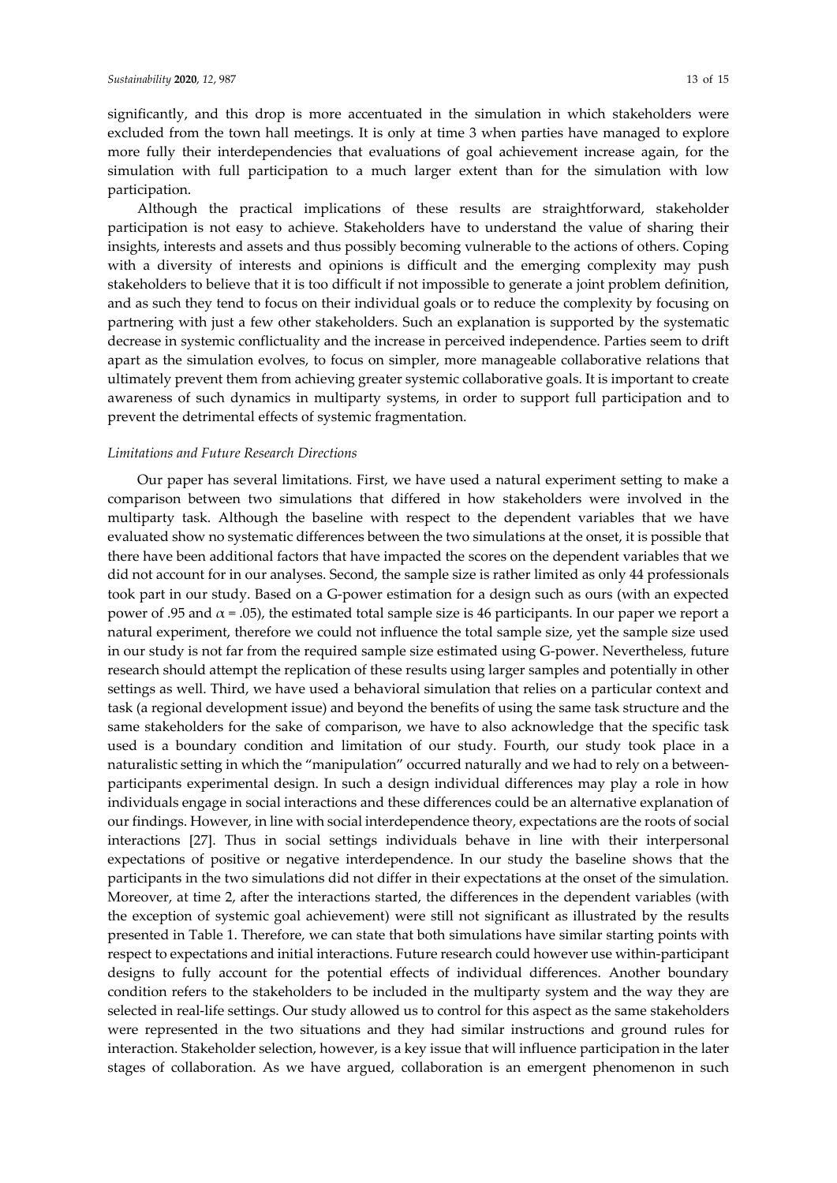significantly, and this drop is more accentuated in the simulation in which stakeholders were excluded from the town hall meetings. It is only at time 3 when parties have managed to explore more fully their interdependencies that evaluations of goal achievement increase again, for the simulation with full participation to a much larger extent than for the simulation with low participation.

Although the practical implications of these results are straightforward, stakeholder participation is not easy to achieve. Stakeholders have to understand the value of sharing their insights, interests and assets and thus possibly becoming vulnerable to the actions of others. Coping with a diversity of interests and opinions is difficult and the emerging complexity may push stakeholders to believe that it is too difficult if not impossible to generate a joint problem definition, and as such they tend to focus on their individual goals or to reduce the complexity by focusing on partnering with just a few other stakeholders. Such an explanation is supported by the systematic decrease in systemic conflictuality and the increase in perceived independence. Parties seem to drift apart as the simulation evolves, to focus on simpler, more manageable collaborative relations that ultimately prevent them from achieving greater systemic collaborative goals. It is important to create awareness of such dynamics in multiparty systems, in order to support full participation and to prevent the detrimental effects of systemic fragmentation.

#### *Limitations and Future Research Directions*

Our paper has several limitations. First, we have used a natural experiment setting to make a comparison between two simulations that differed in how stakeholders were involved in the multiparty task. Although the baseline with respect to the dependent variables that we have evaluated show no systematic differences between the two simulations at the onset, it is possible that there have been additional factors that have impacted the scores on the dependent variables that we did not account for in our analyses. Second, the sample size is rather limited as only 44 professionals took part in our study. Based on a G‐power estimation for a design such as ours (with an expected power of .95 and  $\alpha$  = .05), the estimated total sample size is 46 participants. In our paper we report a natural experiment, therefore we could not influence the total sample size, yet the sample size used in our study is not far from the required sample size estimated using G‐power. Nevertheless, future research should attempt the replication of these results using larger samples and potentially in other settings as well. Third, we have used a behavioral simulation that relies on a particular context and task (a regional development issue) and beyond the benefits of using the same task structure and the same stakeholders for the sake of comparison, we have to also acknowledge that the specific task used is a boundary condition and limitation of our study. Fourth, our study took place in a naturalistic setting in which the "manipulation" occurred naturally and we had to rely on a betweenparticipants experimental design. In such a design individual differences may play a role in how individuals engage in social interactions and these differences could be an alternative explanation of our findings. However, in line with social interdependence theory, expectations are the roots of social interactions [27]. Thus in social settings individuals behave in line with their interpersonal expectations of positive or negative interdependence. In our study the baseline shows that the participants in the two simulations did not differ in their expectations at the onset of the simulation. Moreover, at time 2, after the interactions started, the differences in the dependent variables (with the exception of systemic goal achievement) were still not significant as illustrated by the results presented in Table 1. Therefore, we can state that both simulations have similar starting points with respect to expectations and initial interactions. Future research could however use within‐participant designs to fully account for the potential effects of individual differences. Another boundary condition refers to the stakeholders to be included in the multiparty system and the way they are selected in real‐life settings. Our study allowed us to control for this aspect as the same stakeholders were represented in the two situations and they had similar instructions and ground rules for interaction. Stakeholder selection, however, is a key issue that will influence participation in the later stages of collaboration. As we have argued, collaboration is an emergent phenomenon in such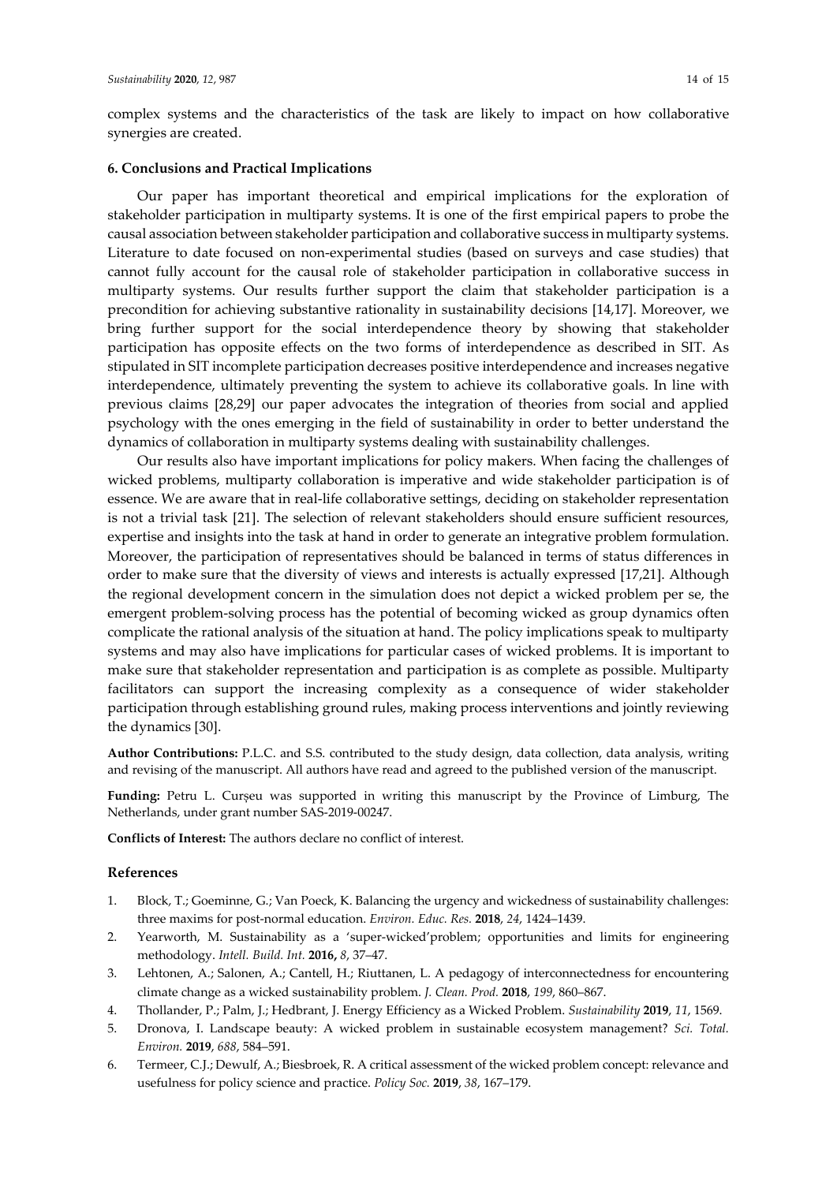complex systems and the characteristics of the task are likely to impact on how collaborative synergies are created.

## **6. Conclusions and Practical Implications**

Our paper has important theoretical and empirical implications for the exploration of stakeholder participation in multiparty systems. It is one of the first empirical papers to probe the causal association between stakeholder participation and collaborative success in multiparty systems. Literature to date focused on non‐experimental studies (based on surveys and case studies) that cannot fully account for the causal role of stakeholder participation in collaborative success in multiparty systems. Our results further support the claim that stakeholder participation is a precondition for achieving substantive rationality in sustainability decisions [14,17]. Moreover, we bring further support for the social interdependence theory by showing that stakeholder participation has opposite effects on the two forms of interdependence as described in SIT. As stipulated in SIT incomplete participation decreases positive interdependence and increases negative interdependence, ultimately preventing the system to achieve its collaborative goals. In line with previous claims [28,29] our paper advocates the integration of theories from social and applied psychology with the ones emerging in the field of sustainability in order to better understand the dynamics of collaboration in multiparty systems dealing with sustainability challenges.

Our results also have important implications for policy makers. When facing the challenges of wicked problems, multiparty collaboration is imperative and wide stakeholder participation is of essence. We are aware that in real‐life collaborative settings, deciding on stakeholder representation is not a trivial task [21]. The selection of relevant stakeholders should ensure sufficient resources, expertise and insights into the task at hand in order to generate an integrative problem formulation. Moreover, the participation of representatives should be balanced in terms of status differences in order to make sure that the diversity of views and interests is actually expressed [17,21]. Although the regional development concern in the simulation does not depict a wicked problem per se, the emergent problem-solving process has the potential of becoming wicked as group dynamics often complicate the rational analysis of the situation at hand. The policy implications speak to multiparty systems and may also have implications for particular cases of wicked problems. It is important to make sure that stakeholder representation and participation is as complete as possible. Multiparty facilitators can support the increasing complexity as a consequence of wider stakeholder participation through establishing ground rules, making process interventions and jointly reviewing the dynamics [30].

**Author Contributions:** P.L.C. and S.S. contributed to the study design, data collection, data analysis, writing and revising of the manuscript. All authors have read and agreed to the published version of the manuscript.

**Funding:** Petru L. Curșeu was supported in writing this manuscript by the Province of Limburg, The Netherlands, under grant number SAS‐2019‐00247.

**Conflicts of Interest:** The authors declare no conflict of interest.

## **References**

- 1. Block, T.; Goeminne, G.; Van Poeck, K. Balancing the urgency and wickedness of sustainability challenges: three maxims for post‐normal education. *Environ. Educ. Res.* **2018**, *24*, 1424–1439.
- 2. Yearworth, M. Sustainability as a 'super-wicked'problem; opportunities and limits for engineering methodology. *Intell. Build. Int.* **2016,** *8*, 37–47.
- 3. Lehtonen, A.; Salonen, A.; Cantell, H.; Riuttanen, L. A pedagogy of interconnectedness for encountering climate change as a wicked sustainability problem. *J. Clean. Prod.* **2018**, *199*, 860–867.
- 4. Thollander, P.; Palm, J.; Hedbrant, J. Energy Efficiency as a Wicked Problem. *Sustainability* **2019**, *11*, 1569.
- 5. Dronova, I. Landscape beauty: A wicked problem in sustainable ecosystem management? *Sci. Total. Environ.* **2019**, *688*, 584–591.
- 6. Termeer, C.J.; Dewulf, A.; Biesbroek, R. A critical assessment of the wicked problem concept: relevance and usefulness for policy science and practice. *Policy Soc.* **2019**, *38*, 167–179.